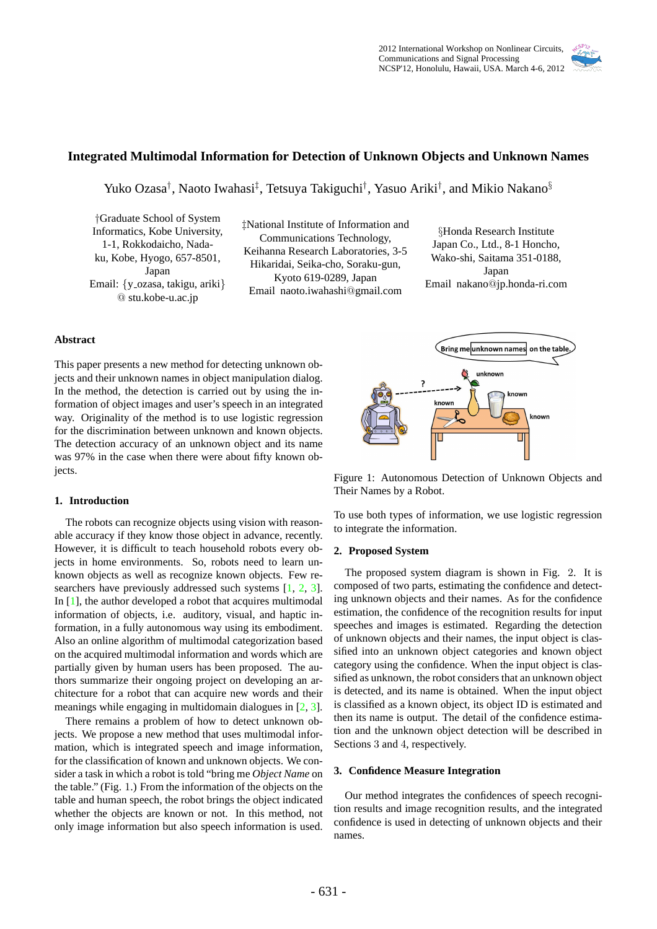

# **Integrated Multimodal Information for Detection of Unknown Objects and Unknown Names**

Yuko Ozasa*†* , Naoto Iwahasi*‡* , Tetsuya Takiguchi*†* , Yasuo Ariki*†* , and Mikio Nakano*§*

*†*Graduate School of System Informatics, Kobe University, 1-1, Rokkodaicho, Nadaku, Kobe, Hyogo, 657-8501, Japan Email: {y\_ozasa, takigu, ariki} @ stu.kobe-u.ac.jp

*‡*National Institute of Information and Communications Technology, Keihanna Research Laboratories, 3-5 Hikaridai, Seika-cho, Soraku-gun, Kyoto 619-0289, Japan Email naoto.iwahashi@gmail.com

*§*Honda Research Institute Japan Co., Ltd., 8-1 Honcho, Wako-shi, Saitama 351-0188, Japan Email nakano@jp.honda-ri.com

# **Abstract**

This paper presents a new method for detecting unknown objects and their unknown names in object manipulation dialog. In the method, the detection is carried out by using the information of object images and user's speech in an integrated way. Originality of the method is to use logistic regression for the discrimination between unknown and known objects. The detection accuracy of an unknown object and its name was 97% in the case when there were about fifty known objects.

# **1. Introduction**

The robots can recognize objects using vision with reasonable accuracy if they know those object in advance, recently. However, it is difficult to teach household robots every objects in home environments. So, robots need to learn unknown objects as well as recognize known objects. Few researchers have previously addressed such systems [1, 2, 3]. In [1], the author developed a robot that acquires multimodal information of objects, i.e. auditory, visual, and haptic information, in a fully autonomous way using its embodiment. Also an online algorithm of multimodal categorization based on the acquired multimodal information and words which are partially given by human users has been proposed. The authors summarize their ongoing project on developing an architecture for a robot that can acquire new words and their meanings while engaging in multidomain dialogues in [2, 3].

There remains a problem of how to detect unknown objects. We propose a new method that uses multimodal information, which is integrated speech and image information, for the classification of known and unknown objects. We consider a task in which a robot is told "bring me *Object Name* on the table." (Fig. 1.) From the information of the objects on the table and human speech, the robot brings the object indicated whether the objects are known or not. In this method, not only image information but also speech information is used.



Figure 1: Autonomous Detection of Unknown Objects and Their Names by a Robot.

To use both types of information, we use logistic regression to integrate the information.

## **2. Proposed System**

The proposed system diagram is shown in Fig. 2. It is composed of two parts, estimating the confidence and detecting unknown objects and their names. As for the confidence estimation, the confidence of the recognition results for input speeches and images is estimated. Regarding the detection of unknown objects and their names, the input object is classified into an unknown object categories and known object category using the confidence. When the input object is classified as unknown, the robot considers that an unknown object is detected, and its name is obtained. When the input object is classified as a known object, its object ID is estimated and then its name is output. The detail of the confidence estimation and the unknown object detection will be described in Sections 3 and 4, respectively.

# **3. Confidence Measure Integration**

Our method integrates the confidences of speech recognition results and image recognition results, and the integrated confidence is used in detecting of unknown objects and their names.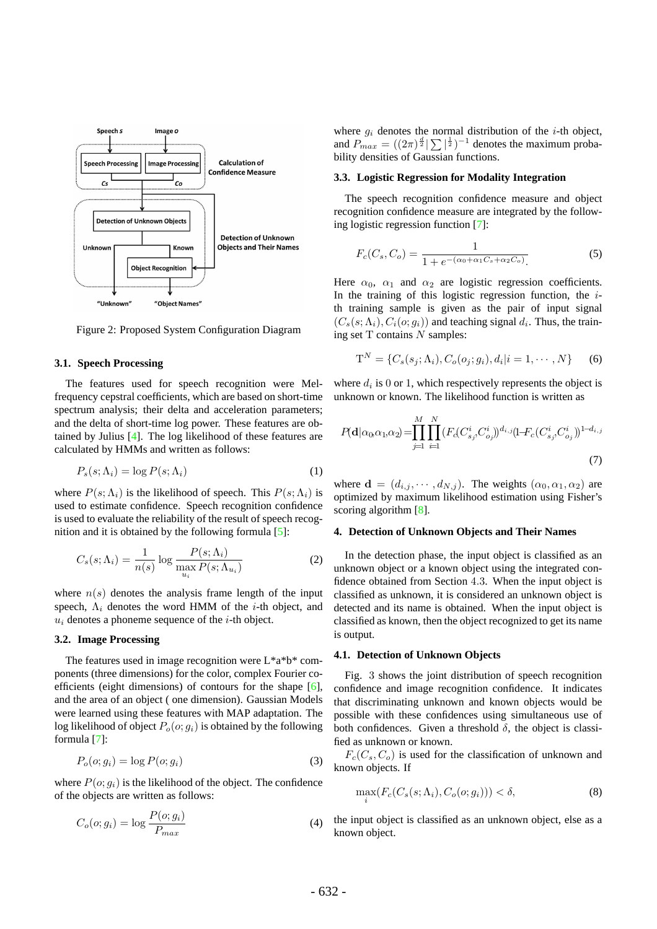

Figure 2: Proposed System Configuration Diagram

# **3.1. Speech Processing**

The features used for speech recognition were Melfrequency cepstral coefficients, which are based on short-time spectrum analysis; their delta and acceleration parameters; and the delta of short-time log power. These features are obtained by Julius [4]. The log likelihood of these features are calculated by HMMs and written as follows:

$$
P_s(s; \Lambda_i) = \log P(s; \Lambda_i)
$$
\n(1)

where  $P(s; \Lambda_i)$  is the likelihood of speech. This  $P(s; \Lambda_i)$  is used to estimate confidence. Speech recognition confidence is used to evaluate the reliability of the result of speech recognition and it is obtained by the following formula [5]:

$$
C_s(s; \Lambda_i) = \frac{1}{n(s)} \log \frac{P(s; \Lambda_i)}{\max_{u_i} P(s; \Lambda_{u_i})}
$$
(2)

where  $n(s)$  denotes the analysis frame length of the input speech, Λ*<sup>i</sup>* denotes the word HMM of the *i*-th object, and *u<sup>i</sup>* denotes a phoneme sequence of the *i*-th object.

# **3.2. Image Processing**

The features used in image recognition were L\*a\*b\* components (three dimensions) for the color, complex Fourier coefficients (eight dimensions) of contours for the shape [6], and the area of an object ( one dimension). Gaussian Models were learned using these features with MAP adaptation. The log likelihood of object  $P_o(o; g_i)$  is obtained by the following formula [7]:

$$
P_o(o; g_i) = \log P(o; g_i)
$$
\n(3)

where  $P(o; q_i)$  is the likelihood of the object. The confidence of the objects are written as follows:

$$
C_o(o; g_i) = \log \frac{P(o; g_i)}{P_{max}} \tag{4}
$$

where  $g_i$  denotes the normal distribution of the *i*-th object, and  $P_{max} = \left( (2\pi)^{\frac{d}{2}} \right) \sum_{n=1}^{\infty}$  denotes the maximum probability densities of Gaussian functions.

# **3.3. Logistic Regression for Modality Integration**

The speech recognition confidence measure and object recognition confidence measure are integrated by the following logistic regression function [7]:

$$
F_c(C_s, C_o) = \frac{1}{1 + e^{-(\alpha_0 + \alpha_1 C_s + \alpha_2 C_o)}}.
$$
\n(5)

Here  $\alpha_0$ ,  $\alpha_1$  and  $\alpha_2$  are logistic regression coefficients. In the training of this logistic regression function, the *i*th training sample is given as the pair of input signal  $(C_s(s; \Lambda_i), C_i(o; g_i))$  and teaching signal  $d_i$ . Thus, the training set T contains *N* samples:

$$
T^{N} = \{C_{s}(s_{j}; \Lambda_{i}), C_{o}(o_{j}; g_{i}), d_{i}|i = 1, \cdots, N\}
$$
 (6)

where  $d_i$  is 0 or 1, which respectively represents the object is unknown or known. The likelihood function is written as

$$
P(\mathbf{d}|\alpha_0\alpha_1\alpha_2) = \prod_{j=1}^M \prod_{i=1}^N (F_c(C_{s_j}^i, C_{o_j}^i))^{d_{i,j}} (1 - F_c(C_{s_j}^i, C_{o_j}^i))^{1 - d_{i,j}}
$$
\n(7)

where  $\mathbf{d} = (d_{i,j}, \dots, d_{N,j})$ . The weights  $(\alpha_0, \alpha_1, \alpha_2)$  are optimized by maximum likelihood estimation using Fisher's scoring algorithm [8].

## **4. Detection of Unknown Objects and Their Names**

In the detection phase, the input object is classified as an unknown object or a known object using the integrated confidence obtained from Section 4*.*3. When the input object is classified as unknown, it is considered an unknown object is detected and its name is obtained. When the input object is classified as known, then the object recognized to get its name is output.

#### **4.1. Detection of Unknown Objects**

Fig. 3 shows the joint distribution of speech recognition confidence and image recognition confidence. It indicates that discriminating unknown and known objects would be possible with these confidences using simultaneous use of both confidences. Given a threshold  $\delta$ , the object is classified as unknown or known.

 $F_c(C_s, C_o)$  is used for the classification of unknown and known objects. If

$$
\max_{i} (F_c(C_s(s; \Lambda_i), C_o(o; g_i))) < \delta,
$$
\n(8)

the input object is classified as an unknown object, else as a known object.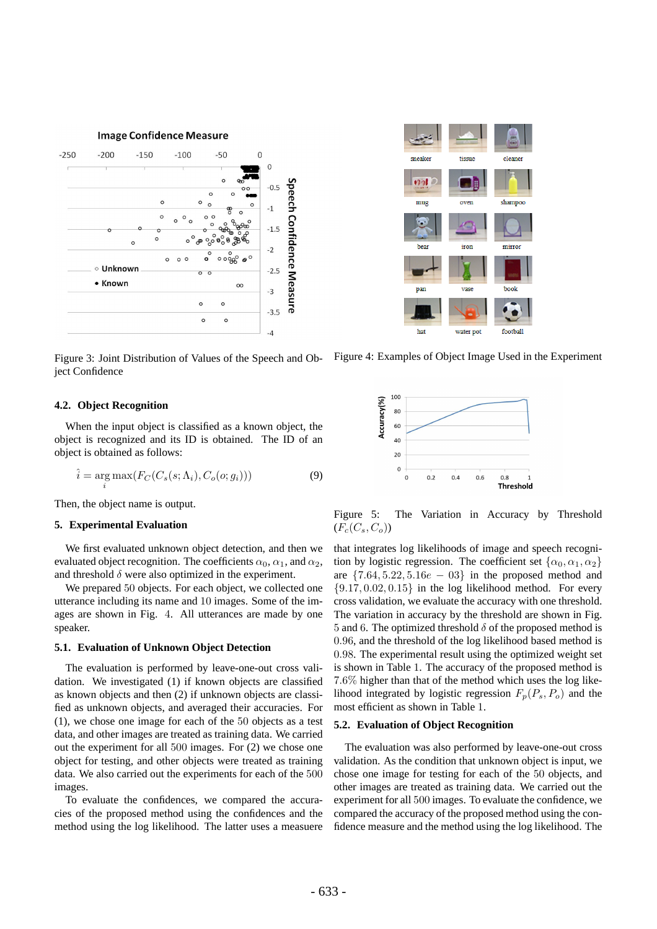**Image Confidence Measure** 



Figure 3: Joint Distribution of Values of the Speech and Object Confidence

# **4.2. Object Recognition**

When the input object is classified as a known object, the object is recognized and its ID is obtained. The ID of an object is obtained as follows:

$$
\hat{i} = \underset{i}{\arg \max} (F_C(C_s(s; \Lambda_i), C_o(o; g_i)))
$$
\n(9)

Then, the object name is output.

# **5. Experimental Evaluation**

We first evaluated unknown object detection, and then we evaluated object recognition. The coefficients  $\alpha_0$ ,  $\alpha_1$ , and  $\alpha_2$ , and threshold  $\delta$  were also optimized in the experiment.

We prepared 50 objects. For each object, we collected one utterance including its name and 10 images. Some of the images are shown in Fig. 4. All utterances are made by one speaker.

# **5.1. Evaluation of Unknown Object Detection**

The evaluation is performed by leave-one-out cross validation. We investigated (1) if known objects are classified as known objects and then (2) if unknown objects are classified as unknown objects, and averaged their accuracies. For (1), we chose one image for each of the 50 objects as a test data, and other images are treated as training data. We carried out the experiment for all 500 images. For (2) we chose one object for testing, and other objects were treated as training data. We also carried out the experiments for each of the 500 images.

To evaluate the confidences, we compared the accuracies of the proposed method using the confidences and the method using the log likelihood. The latter uses a measuere



Figure 4: Examples of Object Image Used in the Experiment



Figure 5: The Variation in Accuracy by Threshold  $(F_c(C_s, C_o))$ 

that integrates log likelihoods of image and speech recognition by logistic regression. The coefficient set  $\{\alpha_0, \alpha_1, \alpha_2\}$ are  $\{7.64, 5.22, 5.16e - 03\}$  in the proposed method and *{*9*.*17*,* 0*.*02*,* 0*.*15*}* in the log likelihood method. For every cross validation, we evaluate the accuracy with one threshold. The variation in accuracy by the threshold are shown in Fig. 5 and 6. The optimized threshold  $\delta$  of the proposed method is 0*.*96, and the threshold of the log likelihood based method is 0*.*98. The experimental result using the optimized weight set is shown in Table 1. The accuracy of the proposed method is 7*.*6% higher than that of the method which uses the log likelihood integrated by logistic regression  $F_p(P_s, P_o)$  and the most efficient as shown in Table 1.

# **5.2. Evaluation of Object Recognition**

The evaluation was also performed by leave-one-out cross validation. As the condition that unknown object is input, we chose one image for testing for each of the 50 objects, and other images are treated as training data. We carried out the experiment for all 500 images. To evaluate the confidence, we compared the accuracy of the proposed method using the confidence measure and the method using the log likelihood. The